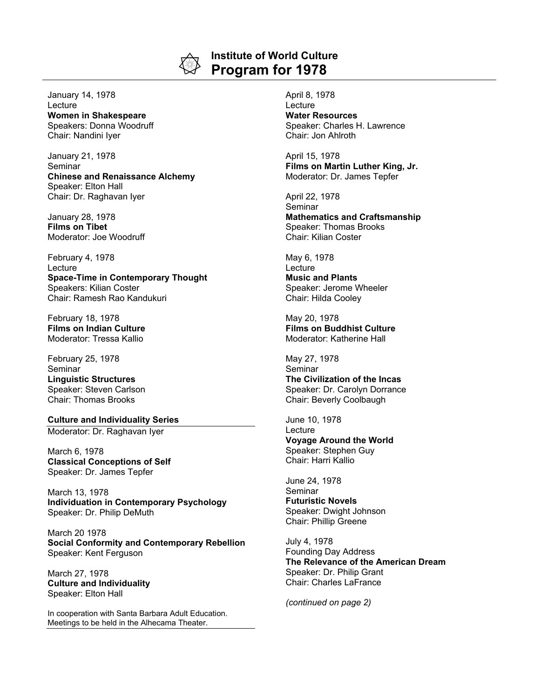

## **Institute of World Culture Program for 1978**

January 14, 1978 **Lecture Women in Shakespeare** Speakers: Donna Woodruff Chair: Nandini Iyer

January 21, 1978 Seminar **Chinese and Renaissance Alchemy** Speaker: Elton Hall Chair: Dr. Raghavan Iyer

January 28, 1978 **Films on Tibet** Moderator: Joe Woodruff

February 4, 1978 Lecture **Space-Time in Contemporary Thought** Speakers: Kilian Coster Chair: Ramesh Rao Kandukuri

February 18, 1978 **Films on Indian Culture** Moderator: Tressa Kallio

February 25, 1978 Seminar **Linguistic Structures** Speaker: Steven Carlson Chair: Thomas Brooks

**Culture and Individuality Series** Moderator: Dr. Raghavan Iyer

March 6, 1978 **Classical Conceptions of Self** Speaker: Dr. James Tepfer

March 13, 1978 **Individuation in Contemporary Psychology** Speaker: Dr. Philip DeMuth

March 20 1978 **Social Conformity and Contemporary Rebellion** Speaker: Kent Ferguson

March 27, 1978 **Culture and Individuality** Speaker: Elton Hall

In cooperation with Santa Barbara Adult Education. Meetings to be held in the Alhecama Theater.

April 8, 1978 **Lecture Water Resources** Speaker: Charles H. Lawrence Chair: Jon Ahlroth

April 15, 1978 **Films on Martin Luther King, Jr.** Moderator: Dr. James Tepfer

April 22, 1978 Seminar **Mathematics and Craftsmanship** Speaker: Thomas Brooks Chair: Kilian Coster

May 6, 1978 **Lecture Music and Plants** Speaker: Jerome Wheeler Chair: Hilda Cooley

May 20, 1978 **Films on Buddhist Culture** Moderator: Katherine Hall

May 27, 1978 Seminar **The Civilization of the Incas** Speaker: Dr. Carolyn Dorrance Chair: Beverly Coolbaugh

June 10, 1978 Lecture

**Voyage Around the World** Speaker: Stephen Guy Chair: Harri Kallio

June 24, 1978 Seminar

**Futuristic Novels** Speaker: Dwight Johnson Chair: Phillip Greene

July 4, 1978 Founding Day Address **The Relevance of the American Dream** Speaker: Dr. Philip Grant Chair: Charles LaFrance

*(continued on page 2)*